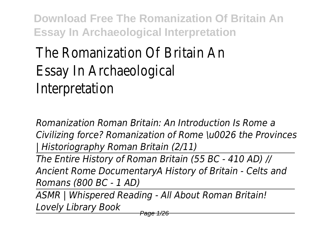## The Romanization Of Britain An Essay In Archaeological Interpretation

*Romanization Roman Britain: An Introduction Is Rome a Civilizing force? Romanization of Rome \u0026 the Provinces | Historiography Roman Britain (2/11)*

*The Entire History of Roman Britain (55 BC - 410 AD) // Ancient Rome DocumentaryA History of Britain - Celts and Romans (800 BC - 1 AD)*

*ASMR | Whispered Reading - All About Roman Britain! Lovely Library Book*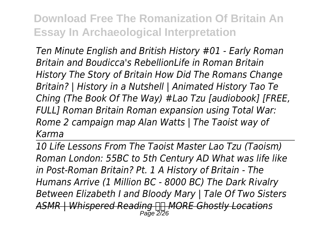*Ten Minute English and British History #01 - Early Roman Britain and Boudicca's RebellionLife in Roman Britain History The Story of Britain How Did The Romans Change Britain? | History in a Nutshell | Animated History Tao Te Ching (The Book Of The Way) #Lao Tzu [audiobook] [FREE, FULL] Roman Britain Roman expansion using Total War: Rome 2 campaign map Alan Watts | The Taoist way of Karma*

*10 Life Lessons From The Taoist Master Lao Tzu (Taoism) Roman London: 55BC to 5th Century AD What was life like in Post-Roman Britain? Pt. 1 A History of Britain - The Humans Arrive (1 Million BC - 8000 BC) The Dark Rivalry Between Elizabeth I and Bloody Mary | Tale Of Two Sisters ASMR | Whispered Reading MORE Ghostly Locations* Page 2/26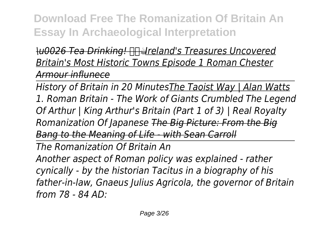*\u0026 Tea Drinking! ☕Ireland's Treasures Uncovered Britain's Most Historic Towns Episode 1 Roman Chester Armour influnece*

*History of Britain in 20 MinutesThe Taoist Way | Alan Watts 1. Roman Britain - The Work of Giants Crumbled The Legend Of Arthur | King Arthur's Britain (Part 1 of 3) | Real Royalty Romanization Of Japanese The Big Picture: From the Big Bang to the Meaning of Life - with Sean Carroll The Romanization Of Britain An Another aspect of Roman policy was explained - rather cynically - by the historian Tacitus in a biography of his father-in-law, Gnaeus Julius Agricola, the governor of Britain*

*from 78 - 84 AD:*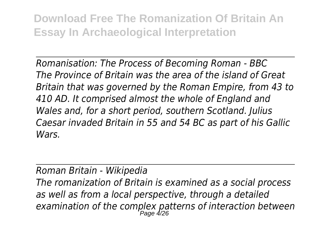*Romanisation: The Process of Becoming Roman - BBC The Province of Britain was the area of the island of Great Britain that was governed by the Roman Empire, from 43 to 410 AD. It comprised almost the whole of England and Wales and, for a short period, southern Scotland. Julius Caesar invaded Britain in 55 and 54 BC as part of his Gallic Wars.*

*Roman Britain - Wikipedia*

*The romanization of Britain is examined as a social process as well as from a local perspective, through a detailed examination of the complex patterns of interaction between* Page 4/26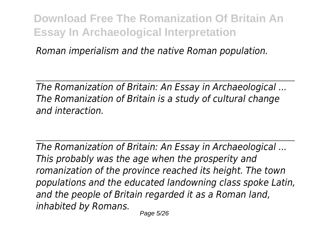*Roman imperialism and the native Roman population.*

*The Romanization of Britain: An Essay in Archaeological ... The Romanization of Britain is a study of cultural change and interaction.*

*The Romanization of Britain: An Essay in Archaeological ... This probably was the age when the prosperity and romanization of the province reached its height. The town populations and the educated landowning class spoke Latin, and the people of Britain regarded it as a Roman land, inhabited by Romans.*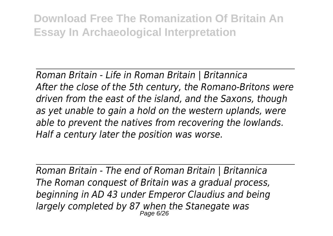*Roman Britain - Life in Roman Britain | Britannica After the close of the 5th century, the Romano-Britons were driven from the east of the island, and the Saxons, though as yet unable to gain a hold on the western uplands, were able to prevent the natives from recovering the lowlands. Half a century later the position was worse.*

*Roman Britain - The end of Roman Britain | Britannica The Roman conquest of Britain was a gradual process, beginning in AD 43 under Emperor Claudius and being largely completed by 87 when the Stanegate was* Page 6/26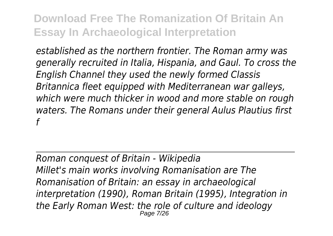*established as the northern frontier. The Roman army was generally recruited in Italia, Hispania, and Gaul. To cross the English Channel they used the newly formed Classis Britannica fleet equipped with Mediterranean war galleys, which were much thicker in wood and more stable on rough waters. The Romans under their general Aulus Plautius first f*

*Roman conquest of Britain - Wikipedia Millet's main works involving Romanisation are The Romanisation of Britain: an essay in archaeological interpretation (1990), Roman Britain (1995), Integration in the Early Roman West: the role of culture and ideology* Page 7/26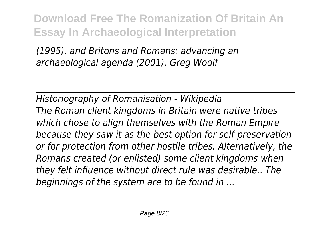*(1995), and Britons and Romans: advancing an archaeological agenda (2001). Greg Woolf*

*Historiography of Romanisation - Wikipedia The Roman client kingdoms in Britain were native tribes which chose to align themselves with the Roman Empire because they saw it as the best option for self-preservation or for protection from other hostile tribes. Alternatively, the Romans created (or enlisted) some client kingdoms when they felt influence without direct rule was desirable.. The beginnings of the system are to be found in ...*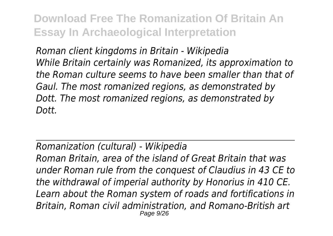*Roman client kingdoms in Britain - Wikipedia While Britain certainly was Romanized, its approximation to the Roman culture seems to have been smaller than that of Gaul. The most romanized regions, as demonstrated by Dott. The most romanized regions, as demonstrated by Dott.*

## *Romanization (cultural) - Wikipedia*

*Roman Britain, area of the island of Great Britain that was under Roman rule from the conquest of Claudius in 43 CE to the withdrawal of imperial authority by Honorius in 410 CE. Learn about the Roman system of roads and fortifications in Britain, Roman civil administration, and Romano-British art* Page 9/26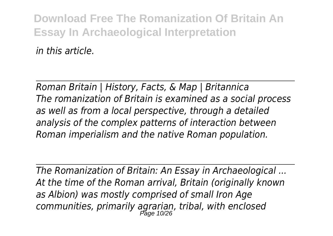*in this article.*

*Roman Britain | History, Facts, & Map | Britannica The romanization of Britain is examined as a social process as well as from a local perspective, through a detailed analysis of the complex patterns of interaction between Roman imperialism and the native Roman population.*

*The Romanization of Britain: An Essay in Archaeological ... At the time of the Roman arrival, Britain (originally known as Albion) was mostly comprised of small Iron Age communities, primarily agrarian, tribal, with enclosed* Page 10/26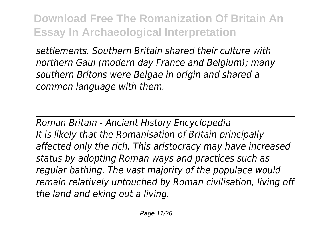*settlements. Southern Britain shared their culture with northern Gaul (modern day France and Belgium); many southern Britons were Belgae in origin and shared a common language with them.*

*Roman Britain - Ancient History Encyclopedia It is likely that the Romanisation of Britain principally affected only the rich. This aristocracy may have increased status by adopting Roman ways and practices such as regular bathing. The vast majority of the populace would remain relatively untouched by Roman civilisation, living off the land and eking out a living.*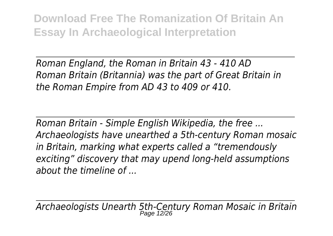*Roman England, the Roman in Britain 43 - 410 AD Roman Britain (Britannia) was the part of Great Britain in the Roman Empire from AD 43 to 409 or 410.*

*Roman Britain - Simple English Wikipedia, the free ... Archaeologists have unearthed a 5th-century Roman mosaic in Britain, marking what experts called a "tremendously exciting" discovery that may upend long-held assumptions about the timeline of ...*

*Archaeologists Unearth 5th-Century Roman Mosaic in Britain* Page 12/26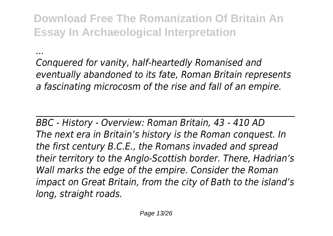*...*

*Conquered for vanity, half-heartedly Romanised and eventually abandoned to its fate, Roman Britain represents a fascinating microcosm of the rise and fall of an empire.*

*BBC - History - Overview: Roman Britain, 43 - 410 AD The next era in Britain's history is the Roman conquest. In the first century B.C.E., the Romans invaded and spread their territory to the Anglo-Scottish border. There, Hadrian's Wall marks the edge of the empire. Consider the Roman impact on Great Britain, from the city of Bath to the island's long, straight roads.*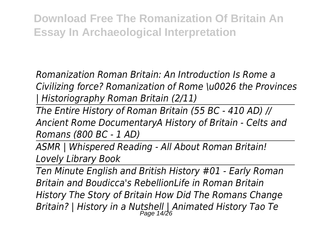*Romanization Roman Britain: An Introduction Is Rome a Civilizing force? Romanization of Rome \u0026 the Provinces | Historiography Roman Britain (2/11)*

*The Entire History of Roman Britain (55 BC - 410 AD) // Ancient Rome DocumentaryA History of Britain - Celts and Romans (800 BC - 1 AD)*

*ASMR | Whispered Reading - All About Roman Britain! Lovely Library Book*

*Ten Minute English and British History #01 - Early Roman Britain and Boudicca's RebellionLife in Roman Britain History The Story of Britain How Did The Romans Change Britain? | History in a Nutshell | Animated History Tao Te* Page 14/26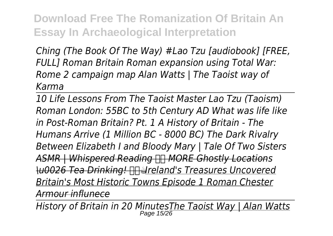*Ching (The Book Of The Way) #Lao Tzu [audiobook] [FREE, FULL] Roman Britain Roman expansion using Total War: Rome 2 campaign map Alan Watts | The Taoist way of Karma*

*10 Life Lessons From The Taoist Master Lao Tzu (Taoism) Roman London: 55BC to 5th Century AD What was life like in Post-Roman Britain? Pt. 1 A History of Britain - The Humans Arrive (1 Million BC - 8000 BC) The Dark Rivalry Between Elizabeth I and Bloody Mary | Tale Of Two Sisters ASMR | Whispered Reading MORE Ghostly Locations \u0026 Tea Drinking! ☕Ireland's Treasures Uncovered Britain's Most Historic Towns Episode 1 Roman Chester Armour influnece*

*History of Britain in 20 MinutesThe Taoist Way | Alan Watts* Page 15/26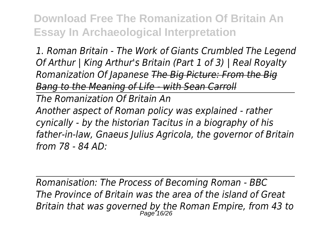*1. Roman Britain - The Work of Giants Crumbled The Legend Of Arthur | King Arthur's Britain (Part 1 of 3) | Real Royalty Romanization Of Japanese The Big Picture: From the Big Bang to the Meaning of Life - with Sean Carroll*

*The Romanization Of Britain An*

*Another aspect of Roman policy was explained - rather cynically - by the historian Tacitus in a biography of his father-in-law, Gnaeus Julius Agricola, the governor of Britain from 78 - 84 AD:*

*Romanisation: The Process of Becoming Roman - BBC The Province of Britain was the area of the island of Great Britain that was governed by the Roman Empire, from 43 to* Page 16/26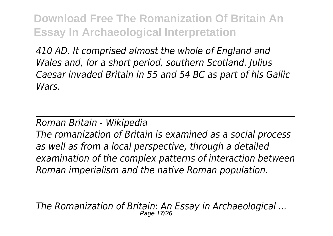*410 AD. It comprised almost the whole of England and Wales and, for a short period, southern Scotland. Julius Caesar invaded Britain in 55 and 54 BC as part of his Gallic Wars.*

*Roman Britain - Wikipedia*

*The romanization of Britain is examined as a social process as well as from a local perspective, through a detailed examination of the complex patterns of interaction between Roman imperialism and the native Roman population.*

*The Romanization of Britain: An Essay in Archaeological ...* Page 17/26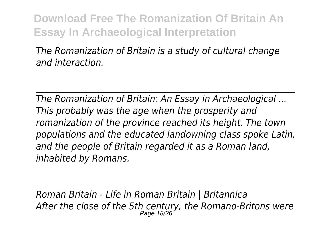*The Romanization of Britain is a study of cultural change and interaction.*

*The Romanization of Britain: An Essay in Archaeological ... This probably was the age when the prosperity and romanization of the province reached its height. The town populations and the educated landowning class spoke Latin, and the people of Britain regarded it as a Roman land, inhabited by Romans.*

*Roman Britain - Life in Roman Britain | Britannica After the close of the 5th century, the Romano-Britons were* Page 18/26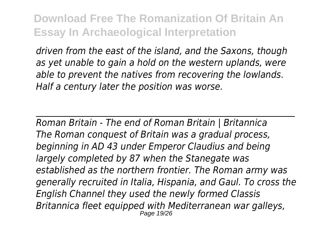*driven from the east of the island, and the Saxons, though as yet unable to gain a hold on the western uplands, were able to prevent the natives from recovering the lowlands. Half a century later the position was worse.*

*Roman Britain - The end of Roman Britain | Britannica The Roman conquest of Britain was a gradual process, beginning in AD 43 under Emperor Claudius and being largely completed by 87 when the Stanegate was established as the northern frontier. The Roman army was generally recruited in Italia, Hispania, and Gaul. To cross the English Channel they used the newly formed Classis Britannica fleet equipped with Mediterranean war galleys,* Page 19/26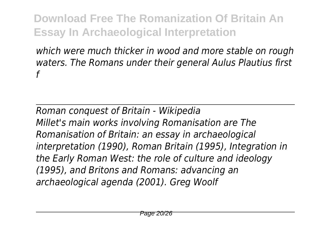*which were much thicker in wood and more stable on rough waters. The Romans under their general Aulus Plautius first f*

*Roman conquest of Britain - Wikipedia Millet's main works involving Romanisation are The Romanisation of Britain: an essay in archaeological interpretation (1990), Roman Britain (1995), Integration in the Early Roman West: the role of culture and ideology (1995), and Britons and Romans: advancing an archaeological agenda (2001). Greg Woolf*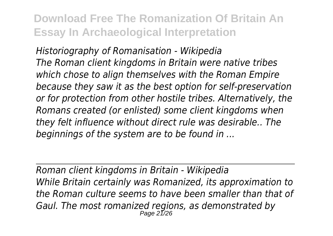*Historiography of Romanisation - Wikipedia The Roman client kingdoms in Britain were native tribes which chose to align themselves with the Roman Empire because they saw it as the best option for self-preservation or for protection from other hostile tribes. Alternatively, the Romans created (or enlisted) some client kingdoms when they felt influence without direct rule was desirable.. The beginnings of the system are to be found in ...*

*Roman client kingdoms in Britain - Wikipedia While Britain certainly was Romanized, its approximation to the Roman culture seems to have been smaller than that of Gaul. The most romanized regions, as demonstrated by* Page 21/26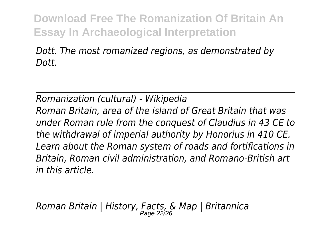*Dott. The most romanized regions, as demonstrated by Dott.*

*Romanization (cultural) - Wikipedia Roman Britain, area of the island of Great Britain that was under Roman rule from the conquest of Claudius in 43 CE to the withdrawal of imperial authority by Honorius in 410 CE. Learn about the Roman system of roads and fortifications in Britain, Roman civil administration, and Romano-British art in this article.*

*Roman Britain | History, Facts, & Map | Britannica* Page 22/26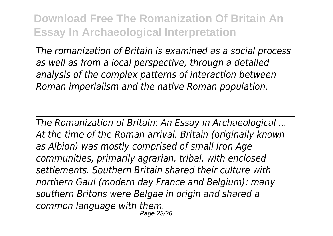*The romanization of Britain is examined as a social process as well as from a local perspective, through a detailed analysis of the complex patterns of interaction between Roman imperialism and the native Roman population.*

*The Romanization of Britain: An Essay in Archaeological ... At the time of the Roman arrival, Britain (originally known as Albion) was mostly comprised of small Iron Age communities, primarily agrarian, tribal, with enclosed settlements. Southern Britain shared their culture with northern Gaul (modern day France and Belgium); many southern Britons were Belgae in origin and shared a common language with them.* Page 23/26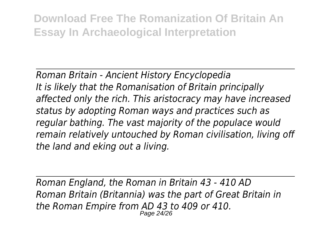*Roman Britain - Ancient History Encyclopedia It is likely that the Romanisation of Britain principally affected only the rich. This aristocracy may have increased status by adopting Roman ways and practices such as regular bathing. The vast majority of the populace would remain relatively untouched by Roman civilisation, living off the land and eking out a living.*

*Roman England, the Roman in Britain 43 - 410 AD Roman Britain (Britannia) was the part of Great Britain in the Roman Empire from AD 43 to 409 or 410.* Page 24/26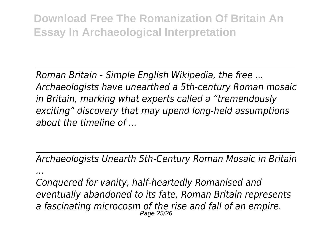*Roman Britain - Simple English Wikipedia, the free ... Archaeologists have unearthed a 5th-century Roman mosaic in Britain, marking what experts called a "tremendously exciting" discovery that may upend long-held assumptions about the timeline of ...*

*Archaeologists Unearth 5th-Century Roman Mosaic in Britain ...*

*Conquered for vanity, half-heartedly Romanised and eventually abandoned to its fate, Roman Britain represents a fascinating microcosm of the rise and fall of an empire.* Page 25/26